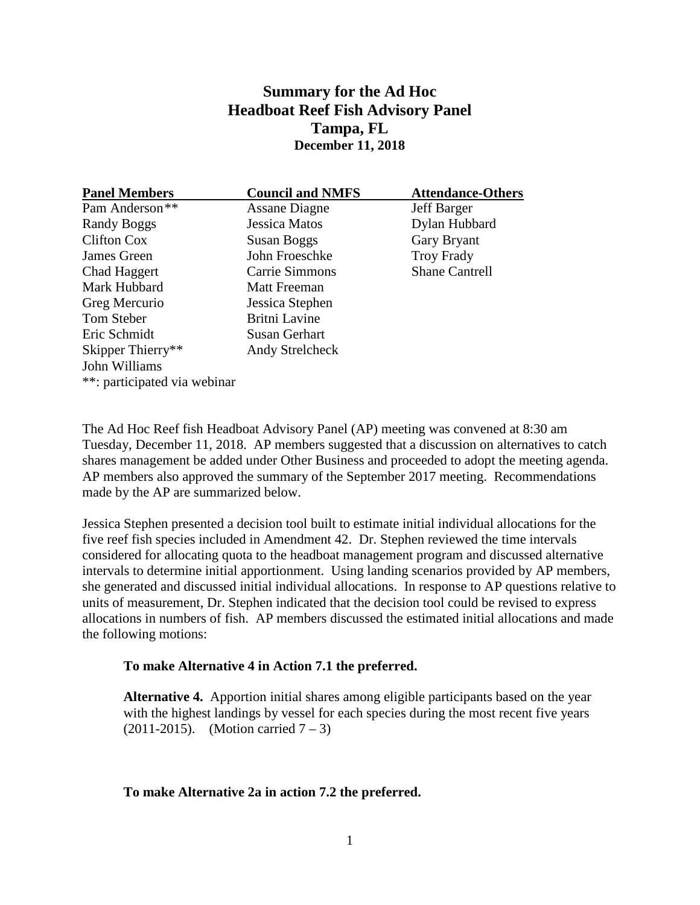# **Summary for the Ad Hoc Headboat Reef Fish Advisory Panel Tampa, FL December 11, 2018**

| <b>Panel Members</b>         | <b>Council and NMFS</b> | <b>Attendance-Others</b> |
|------------------------------|-------------------------|--------------------------|
| Pam Anderson <sup>**</sup>   | <b>Assane Diagne</b>    | <b>Jeff Barger</b>       |
| Randy Boggs                  | <b>Jessica Matos</b>    | Dylan Hubbard            |
| Clifton Cox                  | <b>Susan Boggs</b>      | Gary Bryant              |
| James Green                  | John Froeschke          | <b>Troy Frady</b>        |
| Chad Haggert                 | Carrie Simmons          | <b>Shane Cantrell</b>    |
| Mark Hubbard                 | <b>Matt Freeman</b>     |                          |
| Greg Mercurio                | Jessica Stephen         |                          |
| Tom Steber                   | <b>Britni Lavine</b>    |                          |
| Eric Schmidt                 | Susan Gerhart           |                          |
| Skipper Thierry**            | <b>Andy Strelcheck</b>  |                          |
| John Williams                |                         |                          |
| **: participated via webinar |                         |                          |

The Ad Hoc Reef fish Headboat Advisory Panel (AP) meeting was convened at 8:30 am Tuesday, December 11, 2018. AP members suggested that a discussion on alternatives to catch shares management be added under Other Business and proceeded to adopt the meeting agenda. AP members also approved the summary of the September 2017 meeting. Recommendations made by the AP are summarized below.

Jessica Stephen presented a decision tool built to estimate initial individual allocations for the five reef fish species included in Amendment 42. Dr. Stephen reviewed the time intervals considered for allocating quota to the headboat management program and discussed alternative intervals to determine initial apportionment. Using landing scenarios provided by AP members, she generated and discussed initial individual allocations. In response to AP questions relative to units of measurement, Dr. Stephen indicated that the decision tool could be revised to express allocations in numbers of fish. AP members discussed the estimated initial allocations and made the following motions:

#### **To make Alternative 4 in Action 7.1 the preferred.**

**Alternative 4.** Apportion initial shares among eligible participants based on the year with the highest landings by vessel for each species during the most recent five years (2011-2015). (Motion carried  $7 - 3$ )

#### **To make Alternative 2a in action 7.2 the preferred.**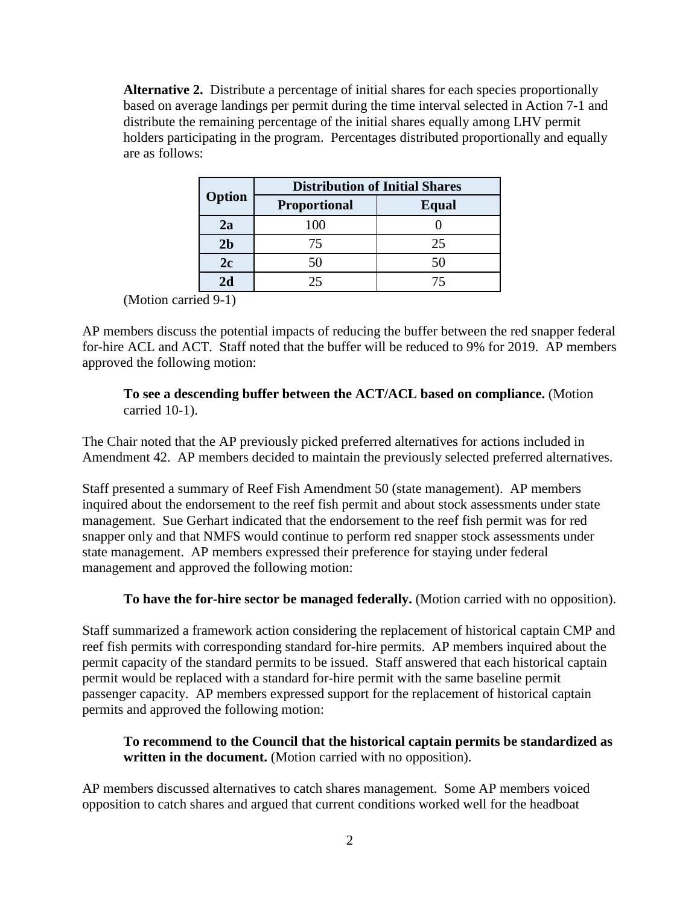**Alternative 2.** Distribute a percentage of initial shares for each species proportionally based on average landings per permit during the time interval selected in Action 7-1 and distribute the remaining percentage of the initial shares equally among LHV permit holders participating in the program. Percentages distributed proportionally and equally are as follows:

|                | <b>Distribution of Initial Shares</b> |       |  |
|----------------|---------------------------------------|-------|--|
| Option         | <b>Proportional</b>                   | Equal |  |
| 2a             | 100                                   |       |  |
| 2 <sub>b</sub> | 75                                    | 25    |  |
| 2c             | 50                                    | 50    |  |
| 2d             | 25                                    | 75    |  |

(Motion carried 9-1)

AP members discuss the potential impacts of reducing the buffer between the red snapper federal for-hire ACL and ACT. Staff noted that the buffer will be reduced to 9% for 2019. AP members approved the following motion:

## **To see a descending buffer between the ACT/ACL based on compliance.** (Motion carried 10-1).

The Chair noted that the AP previously picked preferred alternatives for actions included in Amendment 42. AP members decided to maintain the previously selected preferred alternatives.

Staff presented a summary of Reef Fish Amendment 50 (state management). AP members inquired about the endorsement to the reef fish permit and about stock assessments under state management. Sue Gerhart indicated that the endorsement to the reef fish permit was for red snapper only and that NMFS would continue to perform red snapper stock assessments under state management. AP members expressed their preference for staying under federal management and approved the following motion:

## **To have the for-hire sector be managed federally.** (Motion carried with no opposition).

Staff summarized a framework action considering the replacement of historical captain CMP and reef fish permits with corresponding standard for-hire permits. AP members inquired about the permit capacity of the standard permits to be issued. Staff answered that each historical captain permit would be replaced with a standard for-hire permit with the same baseline permit passenger capacity. AP members expressed support for the replacement of historical captain permits and approved the following motion:

### **To recommend to the Council that the historical captain permits be standardized as written in the document.** (Motion carried with no opposition).

AP members discussed alternatives to catch shares management. Some AP members voiced opposition to catch shares and argued that current conditions worked well for the headboat